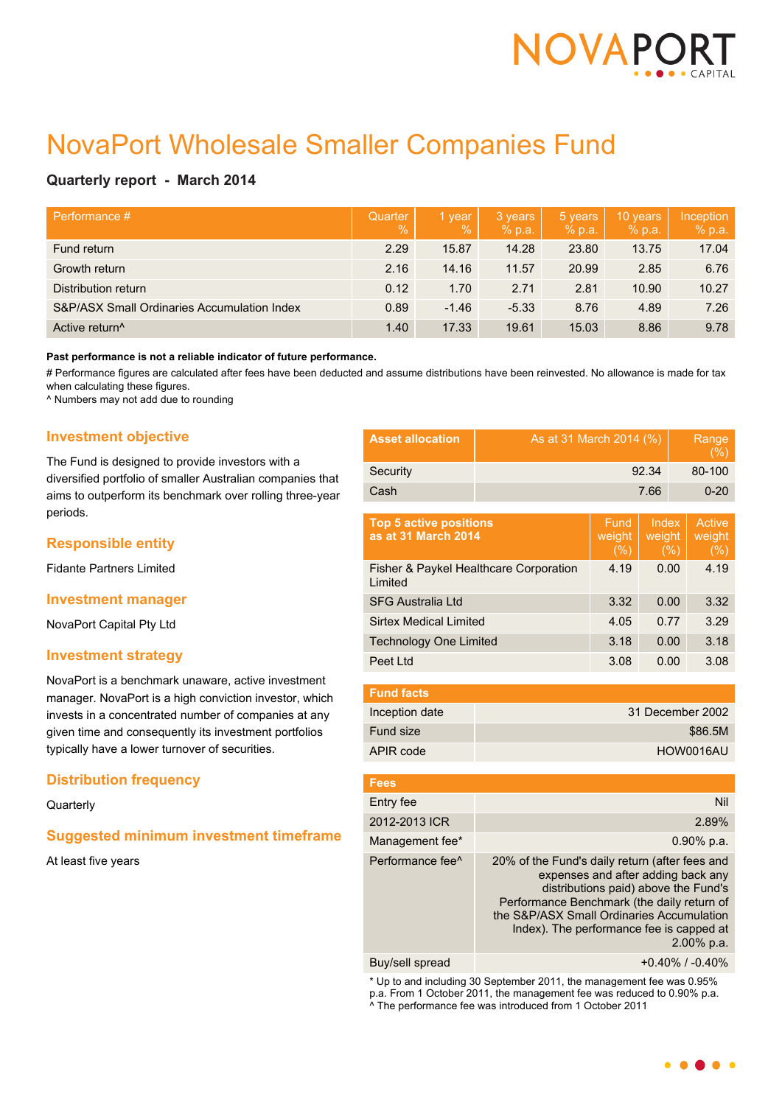

# NovaPort Wholesale Smaller Companies Fund

# **Quarterly report - March 2014**

| Performance #                               | Quarter<br>$\frac{0}{6}$ | 1 year<br>$\overline{\mathbb{V}}_0$ | 3 years<br>% p.a. | 5 years<br>% p.a. | 10 years<br>% p.a. | Inception<br>% p.a. |
|---------------------------------------------|--------------------------|-------------------------------------|-------------------|-------------------|--------------------|---------------------|
| Fund return                                 | 2.29                     | 15.87                               | 14.28             | 23.80             | 13.75              | 17.04               |
| Growth return                               | 2.16                     | 14.16                               | 11.57             | 20.99             | 2.85               | 6.76                |
| Distribution return                         | 0.12                     | 1.70                                | 2.71              | 2.81              | 10.90              | 10.27               |
| S&P/ASX Small Ordinaries Accumulation Index | 0.89                     | $-1.46$                             | $-5.33$           | 8.76              | 4.89               | 7.26                |
| Active return <sup>^</sup>                  | 1.40                     | 17.33                               | 19.61             | 15.03             | 8.86               | 9.78                |

#### **Past performance is not a reliable indicator of future performance.**

# Performance figures are calculated after fees have been deducted and assume distributions have been reinvested. No allowance is made for tax when calculating these figures.

^ Numbers may not add due to rounding

# **Investment objective**

The Fund is designed to provide investors with a diversified portfolio of smaller Australian companies that aims to outperform its benchmark over rolling three-year periods.

## **Responsible entity**

Fidante Partners Limited

#### **Investment manager**

NovaPort Capital Pty Ltd

## **Investment strategy**

NovaPort is a benchmark unaware, active investment manager. NovaPort is a high conviction investor, which invests in a concentrated number of companies at any given time and consequently its investment portfolios typically have a lower turnover of securities.

## **Distribution frequency**

## **Quarterly**

# **Suggested minimum investment timeframe**

At least five years

| <b>Asset allocation</b> | As at 31 March 2014 (%) | Range<br>(%) |
|-------------------------|-------------------------|--------------|
| Security                | 92.34                   | 80-100       |
| Cash                    | 7.66                    | $0 - 20$     |
|                         |                         |              |

| <b>Top 5 active positions</b><br>as at 31 March 2014 | Fund.<br>weight<br>$(\% )$ | Index<br>weight<br>(%) | Active<br>weight<br>(%) |
|------------------------------------------------------|----------------------------|------------------------|-------------------------|
| Fisher & Paykel Healthcare Corporation<br>Limited    | 4.19                       | 0.00                   | 4.19                    |
| <b>SFG Australia Ltd</b>                             | 3.32                       | 0.00                   | 3.32                    |
| <b>Sirtex Medical Limited</b>                        | 4.05                       | 0.77                   | 3.29                    |
| <b>Technology One Limited</b>                        | 3.18                       | 0.00                   | 3.18                    |
| Peet Ltd                                             | 3.08                       | 0.00                   | 3.08                    |

| <b>Fund facts</b> |                  |
|-------------------|------------------|
| Inception date    | 31 December 2002 |
| Fund size         | \$86.5M          |
| APIR code         | HOW0016AU        |

| <b>Fees</b>                  |                                                                                                                                                                                                                                                                                   |
|------------------------------|-----------------------------------------------------------------------------------------------------------------------------------------------------------------------------------------------------------------------------------------------------------------------------------|
| Entry fee                    | Nil                                                                                                                                                                                                                                                                               |
| 2012-2013 ICR                | 2.89%                                                                                                                                                                                                                                                                             |
| Management fee*              | $0.90\%$ p.a.                                                                                                                                                                                                                                                                     |
| Performance fee <sup>^</sup> | 20% of the Fund's daily return (after fees and<br>expenses and after adding back any<br>distributions paid) above the Fund's<br>Performance Benchmark (the daily return of<br>the S&P/ASX Small Ordinaries Accumulation<br>Index). The performance fee is capped at<br>2.00% p.a. |
| Buy/sell spread              | $+0.40\%$ / $-0.40\%$                                                                                                                                                                                                                                                             |

\* Up to and including 30 September 2011, the management fee was 0.95% p.a. From 1 October 2011, the management fee was reduced to 0.90% p.a. ^ The performance fee was introduced from 1 October 2011

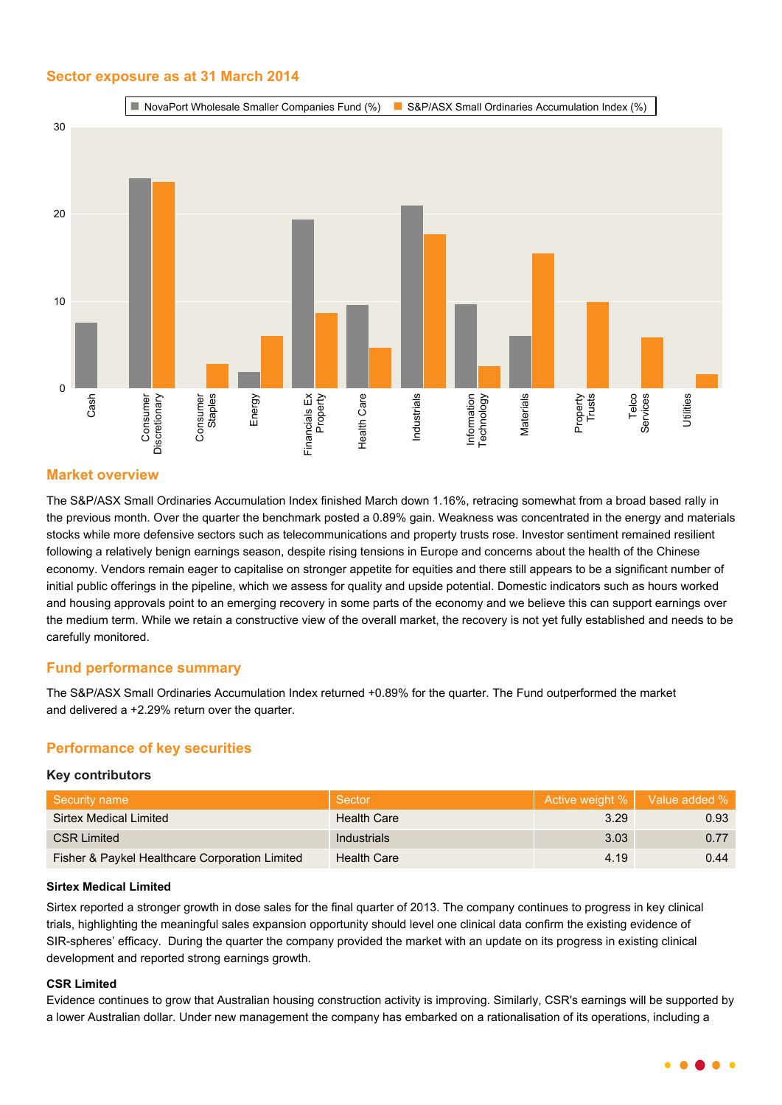# **Sector exposure as at 31 March 2014**



## **Market overview**

The S&P/ASX Small Ordinaries Accumulation Index finished March down 1.16%, retracing somewhat from a broad based rally in the previous month. Over the quarter the benchmark posted a 0.89% gain. Weakness was concentrated in the energy and materials stocks while more defensive sectors such as telecommunications and property trusts rose. Investor sentiment remained resilient following a relatively benign earnings season, despite rising tensions in Europe and concerns about the health of the Chinese economy. Vendors remain eager to capitalise on stronger appetite for equities and there still appears to be a significant number of initial public offerings in the pipeline, which we assess for quality and upside potential. Domestic indicators such as hours worked and housing approvals point to an emerging recovery in some parts of the economy and we believe this can support earnings over the medium term. While we retain a constructive view of the overall market, the recovery is not yet fully established and needs to be carefully monitored.

## **Fund performance summary**

The S&P/ASX Small Ordinaries Accumulation Index returned +0.89% for the quarter. The Fund outperformed the market and delivered a +2.29% return over the quarter.

# **Performance of key securities**

#### **Key contributors**

| Security name                                  | Sector             |      | Active weight %   Value added % |
|------------------------------------------------|--------------------|------|---------------------------------|
| Sirtex Medical Limited                         | <b>Health Care</b> | 3.29 | 0.93                            |
| <b>CSR Limited</b>                             | <b>Industrials</b> | 3.03 | 0.77                            |
| Fisher & Paykel Healthcare Corporation Limited | <b>Health Care</b> | 4.19 | 0.44                            |

#### **Sirtex Medical Limited**

Sirtex reported a stronger growth in dose sales for the final quarter of 2013. The company continues to progress in key clinical trials, highlighting the meaningful sales expansion opportunity should level one clinical data confirm the existing evidence of SIR-spheres' efficacy. During the quarter the company provided the market with an update on its progress in existing clinical development and reported strong earnings growth.

## **CSR Limited**

Evidence continues to grow that Australian housing construction activity is improving. Similarly, CSR's earnings will be supported by a lower Australian dollar. Under new management the company has embarked on a rationalisation of its operations, including a